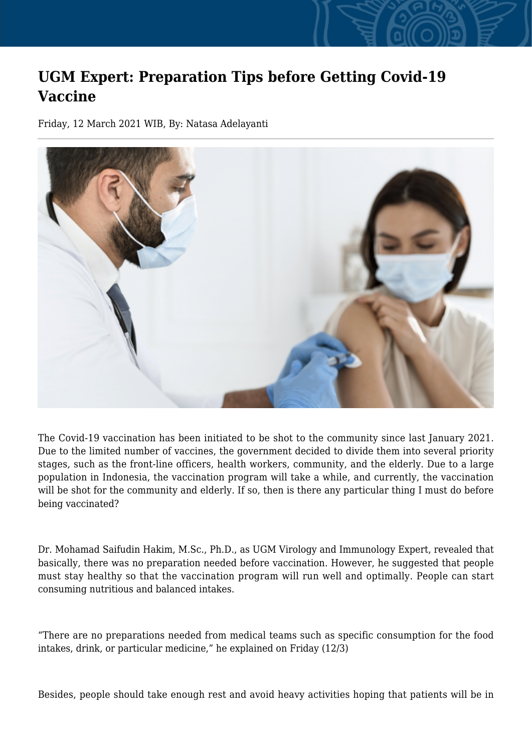## **UGM Expert: Preparation Tips before Getting Covid-19 Vaccine**

Friday, 12 March 2021 WIB, By: Natasa Adelayanti



The Covid-19 vaccination has been initiated to be shot to the community since last January 2021. Due to the limited number of vaccines, the government decided to divide them into several priority stages, such as the front-line officers, health workers, community, and the elderly. Due to a large population in Indonesia, the vaccination program will take a while, and currently, the vaccination will be shot for the community and elderly. If so, then is there any particular thing I must do before being vaccinated?

Dr. Mohamad Saifudin Hakim, M.Sc., Ph.D., as UGM Virology and Immunology Expert, revealed that basically, there was no preparation needed before vaccination. However, he suggested that people must stay healthy so that the vaccination program will run well and optimally. People can start consuming nutritious and balanced intakes.

"There are no preparations needed from medical teams such as specific consumption for the food intakes, drink, or particular medicine," he explained on Friday (12/3)

Besides, people should take enough rest and avoid heavy activities hoping that patients will be in